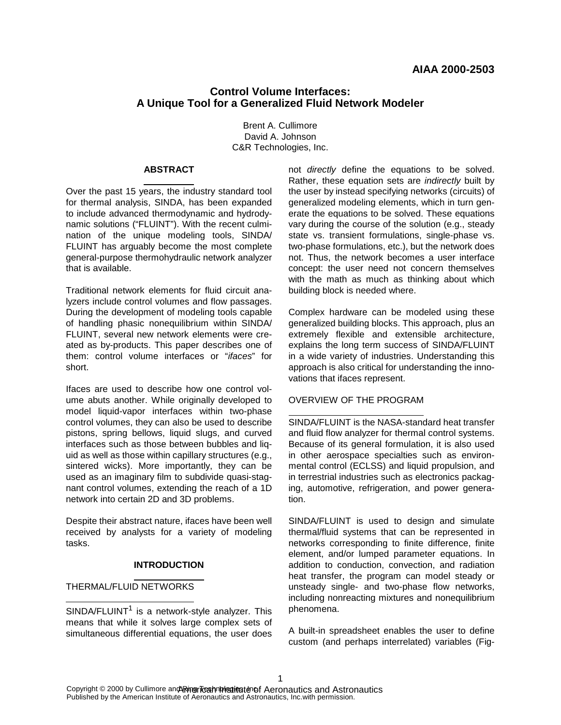# **Control Volume Interfaces: A Unique Tool for a Generalized Fluid Network Modeler**

Brent A. Cullimore David A. Johnson C&R Technologies, Inc.

#### **ABSTRACT**

Over the past 15 years, the industry standard tool for thermal analysis, SINDA, has been expanded to include advanced thermodynamic and hydrodynamic solutions ("FLUINT"). With the recent culmination of the unique modeling tools, SINDA/ FLUINT has arguably become the most complete general-purpose thermohydraulic network analyzer that is available.

Traditional network elements for fluid circuit analyzers include control volumes and flow passages. During the development of modeling tools capable of handling phasic nonequilibrium within SINDA/ FLUINT, several new network elements were created as by-products. This paper describes one of them: control volume interfaces or "*ifaces*" for short.

Ifaces are used to describe how one control volume abuts another. While originally developed to model liquid-vapor interfaces within two-phase control volumes, they can also be used to describe pistons, spring bellows, liquid slugs, and curved interfaces such as those between bubbles and liquid as well as those within capillary structures (e.g., sintered wicks). More importantly, they can be used as an imaginary film to subdivide quasi-stagnant control volumes, extending the reach of a 1D network into certain 2D and 3D problems.

Despite their abstract nature, ifaces have been well received by analysts for a variety of modeling tasks.

### **INTRODUCTION**

### THERMAL/FLUID NETWORKS

SINDA/FLUINT<sup>1</sup> is a network-style analyzer. This means that while it solves large complex sets of simultaneous differential equations, the user does

not *directly* define the equations to be solved. Rather, these equation sets are *indirectly* built by the user by instead specifying networks (circuits) of generalized modeling elements, which in turn generate the equations to be solved. These equations vary during the course of the solution (e.g., steady state vs. transient formulations, single-phase vs. two-phase formulations, etc.), but the network does not. Thus, the network becomes a user interface concept: the user need not concern themselves with the math as much as thinking about which building block is needed where.

Complex hardware can be modeled using these generalized building blocks. This approach, plus an extremely flexible and extensible architecture, explains the long term success of SINDA/FLUINT in a wide variety of industries. Understanding this approach is also critical for understanding the innovations that ifaces represent.

### OVERVIEW OF THE PROGRAM

SINDA/FLUINT is the NASA-standard heat transfer and fluid flow analyzer for thermal control systems. Because of its general formulation, it is also used in other aerospace specialties such as environmental control (ECLSS) and liquid propulsion, and in terrestrial industries such as electronics packaging, automotive, refrigeration, and power generation.

SINDA/FLUINT is used to design and simulate thermal/fluid systems that can be represented in networks corresponding to finite difference, finite element, and/or lumped parameter equations. In addition to conduction, convection, and radiation heat transfer, the program can model steady or unsteady single- and two-phase flow networks, including nonreacting mixtures and nonequilibrium phenomena.

A built-in spreadsheet enables the user to define custom (and perhaps interrelated) variables (Fig-

1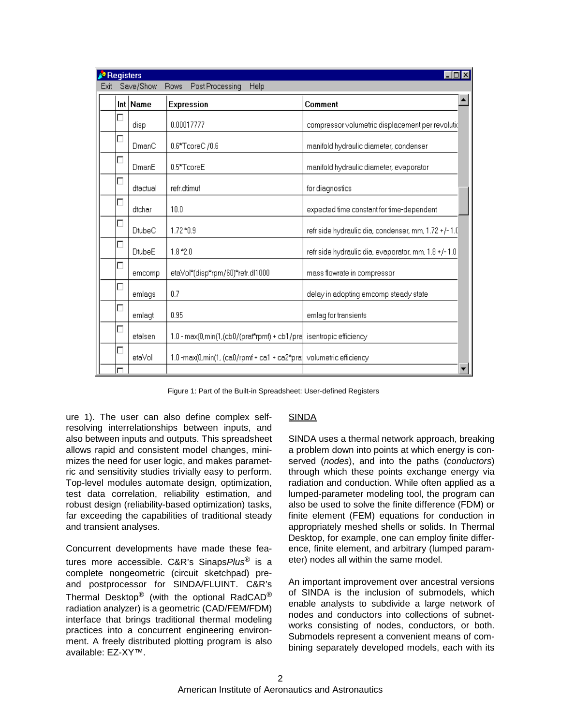| <b><i>P</i></b> Registers                            |   |               |                                                                                       |                                                     |
|------------------------------------------------------|---|---------------|---------------------------------------------------------------------------------------|-----------------------------------------------------|
| Save/Show<br>Rows<br>Post Processing<br>Help<br>Exit |   |               |                                                                                       |                                                     |
|                                                      |   | Int Name      | Expression                                                                            | Comment                                             |
|                                                      |   | disp          | 0.00017777                                                                            | compressor volumetric displacement per revolutio    |
|                                                      | г | DmanC         | 0.6*TcoreC / 0.6                                                                      | manifold hydraulic diameter, condenser              |
|                                                      | П | DmanE         | 0.5*TcoreE                                                                            | manifold hydraulic diameter, evaporator             |
|                                                      | П | dtactual      | refr.dtimuf                                                                           | for diagnostics                                     |
|                                                      |   | dtchar        | 10.0                                                                                  | expected time constant for time-dependent           |
|                                                      | Г | <b>DtubeC</b> | $1.72*0.9$                                                                            | refr side hydraulic dia, condenser, mm, 1.72 +/-1.0 |
|                                                      | П | <b>DtubeE</b> | $1.8*2.0$                                                                             | refr side hydraulic dia, evaporator, mm, 1.8 +/-1.0 |
|                                                      | г | emcomp        | etaVol*(disp*rpm/60)*refr.dl1000                                                      | mass flowrate in compressor                         |
|                                                      |   | emlags        | 0.7                                                                                   | delay in adopting emcomp steady state               |
|                                                      | П | emlagt        | 0.95                                                                                  | emlag for transients                                |
|                                                      | П | etalsen       | $1.0$ - max(0,min(1,(cb0/(prat*rpmf) + cb1/pra                                        | isentropic efficiency                               |
|                                                      | П | etaVol        | $1.0 - \text{max}(0, \text{min}(1, (\text{cal/rpmf} + \text{cal} + \text{ca2*pra})).$ | volumetric efficiency                               |
|                                                      | ⊩ |               |                                                                                       |                                                     |

Figure 1: Part of the Built-in Spreadsheet: User-defined Registers

ure 1). The user can also define complex selfresolving interrelationships between inputs, and also between inputs and outputs. This spreadsheet allows rapid and consistent model changes, minimizes the need for user logic, and makes parametric and sensitivity studies trivially easy to perform. Top-level modules automate design, optimization, test data correlation, reliability estimation, and robust design (reliability-based optimization) tasks, far exceeding the capabilities of traditional steady and transient analyses.

Concurrent developments have made these features more accessible. C&R's Sinaps*Plus*® is a complete nongeometric (circuit sketchpad) preand postprocessor for SINDA/FLUINT. C&R's Thermal Desktop<sup>®</sup> (with the optional RadCAD<sup>®</sup> radiation analyzer) is a geometric (CAD/FEM/FDM) interface that brings traditional thermal modeling practices into a concurrent engineering environment. A freely distributed plotting program is also available: EZ-XY™ .

### SINDA

SINDA uses a thermal network approach, breaking a problem down into points at which energy is conserved (*nodes*), and into the paths (*conductors*) through which these points exchange energy via radiation and conduction. While often applied as a lumped-parameter modeling tool, the program can also be used to solve the finite difference (FDM) or finite element (FEM) equations for conduction in appropriately meshed shells or solids. In Thermal Desktop, for example, one can employ finite difference, finite element, and arbitrary (lumped parameter) nodes all within the same model.

An important improvement over ancestral versions of SINDA is the inclusion of submodels, which enable analysts to subdivide a large network of nodes and conductors into collections of subnetworks consisting of nodes, conductors, or both. Submodels represent a convenient means of combining separately developed models, each with its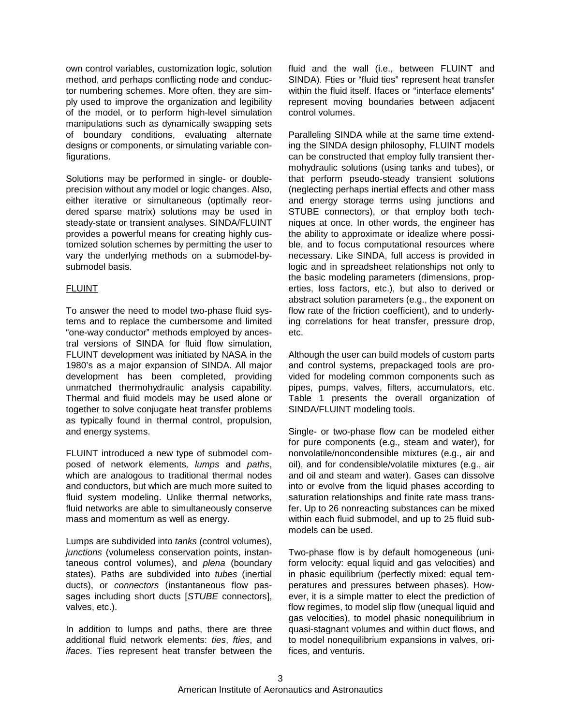own control variables, customization logic, solution method, and perhaps conflicting node and conductor numbering schemes. More often, they are simply used to improve the organization and legibility of the model, or to perform high-level simulation manipulations such as dynamically swapping sets of boundary conditions, evaluating alternate designs or components, or simulating variable configurations.

Solutions may be performed in single- or doubleprecision without any model or logic changes. Also, either iterative or simultaneous (optimally reordered sparse matrix) solutions may be used in steady-state or transient analyses. SINDA/FLUINT provides a powerful means for creating highly customized solution schemes by permitting the user to vary the underlying methods on a submodel-bysubmodel basis.

## FLUINT

To answer the need to model two-phase fluid systems and to replace the cumbersome and limited "one-way conductor" methods employed by ancestral versions of SINDA for fluid flow simulation, FLUINT development was initiated by NASA in the 1980's as a major expansion of SINDA. All major development has been completed, providing unmatched thermohydraulic analysis capability. Thermal and fluid models may be used alone or together to solve conjugate heat transfer problems as typically found in thermal control, propulsion, and energy systems.

FLUINT introduced a new type of submodel composed of network elements*, lumps* and *paths*, which are analogous to traditional thermal nodes and conductors, but which are much more suited to fluid system modeling. Unlike thermal networks, fluid networks are able to simultaneously conserve mass and momentum as well as energy.

Lumps are subdivided into *tanks* (control volumes), *junctions* (volumeless conservation points, instantaneous control volumes), and *plena* (boundary states). Paths are subdivided into *tubes* (inertial ducts), or *connectors* (instantaneous flow passages including short ducts [*STUBE* connectors], valves, etc.).

In addition to lumps and paths, there are three additional fluid network elements: *ties*, *fties*, and *ifaces*. Ties represent heat transfer between the

fluid and the wall (i.e., between FLUINT and SINDA). Fties or "fluid ties" represent heat transfer within the fluid itself. Ifaces or "interface elements" represent moving boundaries between adjacent control volumes.

Paralleling SINDA while at the same time extending the SINDA design philosophy, FLUINT models can be constructed that employ fully transient thermohydraulic solutions (using tanks and tubes), or that perform pseudo-steady transient solutions (neglecting perhaps inertial effects and other mass and energy storage terms using junctions and STUBE connectors), or that employ both techniques at once. In other words, the engineer has the ability to approximate or idealize where possible, and to focus computational resources where necessary. Like SINDA, full access is provided in logic and in spreadsheet relationships not only to the basic modeling parameters (dimensions, properties, loss factors, etc.), but also to derived or abstract solution parameters (e.g., the exponent on flow rate of the friction coefficient), and to underlying correlations for heat transfer, pressure drop, etc.

Although the user can build models of custom parts and control systems, prepackaged tools are provided for modeling common components such as pipes, pumps, valves, filters, accumulators, etc. Table 1 presents the overall organization of SINDA/FLUINT modeling tools.

Single- or two-phase flow can be modeled either for pure components (e.g., steam and water), for nonvolatile/noncondensible mixtures (e.g., air and oil), and for condensible/volatile mixtures (e.g., air and oil and steam and water). Gases can dissolve into or evolve from the liquid phases according to saturation relationships and finite rate mass transfer. Up to 26 nonreacting substances can be mixed within each fluid submodel, and up to 25 fluid submodels can be used.

Two-phase flow is by default homogeneous (uniform velocity: equal liquid and gas velocities) and in phasic equilibrium (perfectly mixed: equal temperatures and pressures between phases). However, it is a simple matter to elect the prediction of flow regimes, to model slip flow (unequal liquid and gas velocities), to model phasic nonequilibrium in quasi-stagnant volumes and within duct flows, and to model nonequilibrium expansions in valves, orifices, and venturis.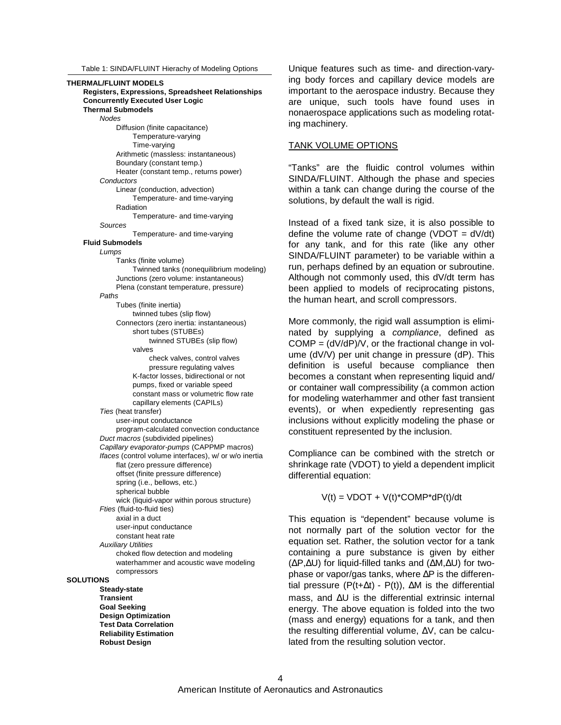Table 1: SINDA/FLUINT Hierachy of Modeling Options

#### **THERMAL/FLUINT MODELS**

```
Registers, Expressions, Spreadsheet Relationships
Concurrently Executed User Logic
Thermal Submodels
```
*Nodes*

Diffusion (finite capacitance) Temperature-varying Time-varying Arithmetic (massless: instantaneous) Boundary (constant temp.) Heater (constant temp., returns power) *Conductors* Linear (conduction, advection) Temperature- and time-varying Radiation Temperature- and time-varying *Sources* Temperature- and time-varying

# **Fluid Submodels**

*Lumps* Tanks (finite volume) Twinned tanks (nonequilibrium modeling) Junctions (zero volume: instantaneous) Plena (constant temperature, pressure) *Paths* Tubes (finite inertia) twinned tubes (slip flow) Connectors (zero inertia: instantaneous) short tubes (STUBEs) twinned STUBEs (slip flow) valves check valves, control valves pressure regulating valves K-factor losses, bidirectional or not pumps, fixed or variable speed constant mass or volumetric flow rate capillary elements (CAPILs) *Ties* (heat transfer) user-input conductance program-calculated convection conductance *Duct macros* (subdivided pipelines) *Capillary evaporator-pumps* (CAPPMP macros) *Ifaces* (control volume interfaces), w/ or w/o inertia flat (zero pressure difference) offset (finite pressure difference) spring (i.e., bellows, etc.) spherical bubble wick (liquid-vapor within porous structure) *Fties* (fluid-to-fluid ties) axial in a duct user-input conductance constant heat rate *Auxiliary Utilities* choked flow detection and modeling waterhammer and acoustic wave modeling compressors **Steady-state**

# **SOLUTIONS**

**Transient Goal Seeking Design Optimization Test Data Correlation Reliability Estimation Robust Design**

Unique features such as time- and direction-varying body forces and capillary device models are important to the aerospace industry. Because they are unique, such tools have found uses in nonaerospace applications such as modeling rotating machinery.

#### TANK VOLUME OPTIONS

"Tanks" are the fluidic control volumes within SINDA/FLUINT. Although the phase and species within a tank can change during the course of the solutions, by default the wall is rigid.

Instead of a fixed tank size, it is also possible to define the volume rate of change (VDOT  $= dV/dt$ ) for any tank, and for this rate (like any other SINDA/FLUINT parameter) to be variable within a run, perhaps defined by an equation or subroutine. Although not commonly used, this dV/dt term has been applied to models of reciprocating pistons, the human heart, and scroll compressors.

More commonly, the rigid wall assumption is eliminated by supplying a *compliance*, defined as  $COMP = (dV/dP)/V$ , or the fractional change in volume (dV/V) per unit change in pressure (dP). This definition is useful because compliance then becomes a constant when representing liquid and/ or container wall compressibility (a common action for modeling waterhammer and other fast transient events), or when expediently representing gas inclusions without explicitly modeling the phase or constituent represented by the inclusion.

Compliance can be combined with the stretch or shrinkage rate (VDOT) to yield a dependent implicit differential equation:

 $V(t) = VDOT + V(t)^*COMP^*dP(t)/dt$ 

This equation is "dependent" because volume is not normally part of the solution vector for the equation set. Rather, the solution vector for a tank containing a pure substance is given by either (ΔP,ΔU) for liquid-filled tanks and (ΔM,ΔU) for twophase or vapor/gas tanks, where ΔP is the differential pressure ( $P(t+\Delta t)$  -  $P(t)$ ),  $\Delta M$  is the differential mass, and ΔU is the differential extrinsic internal energy. The above equation is folded into the two (mass and energy) equations for a tank, and then the resulting differential volume, ΔV, can be calculated from the resulting solution vector.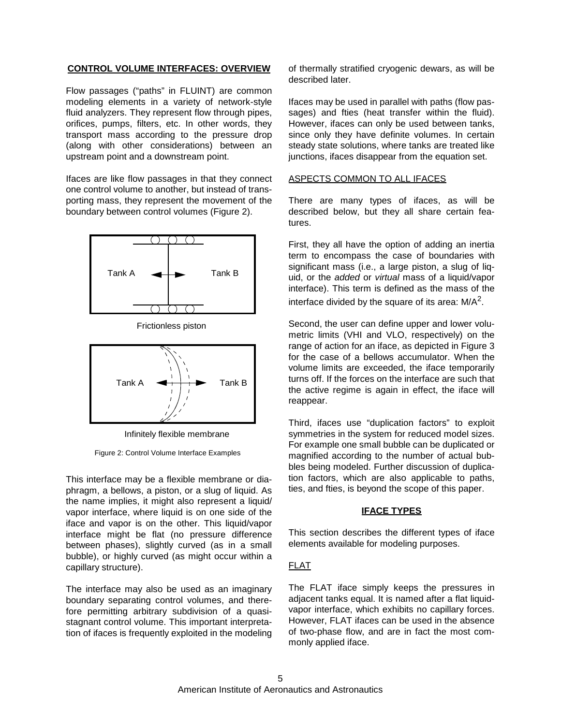#### **CONTROL VOLUME INTERFACES: OVERVIEW**

Flow passages ("paths" in FLUINT) are common modeling elements in a variety of network-style fluid analyzers. They represent flow through pipes, orifices, pumps, filters, etc. In other words, they transport mass according to the pressure drop (along with other considerations) between an upstream point and a downstream point.

Ifaces are like flow passages in that they connect one control volume to another, but instead of transporting mass, they represent the movement of the boundary between control volumes (Figure 2).



Frictionless piston



Infinitely flexible membrane

Figure 2: Control Volume Interface Examples

This interface may be a flexible membrane or diaphragm, a bellows, a piston, or a slug of liquid. As the name implies, it might also represent a liquid/ vapor interface, where liquid is on one side of the iface and vapor is on the other. This liquid/vapor interface might be flat (no pressure difference between phases), slightly curved (as in a small bubble), or highly curved (as might occur within a capillary structure).

The interface may also be used as an imaginary boundary separating control volumes, and therefore permitting arbitrary subdivision of a quasistagnant control volume. This important interpretation of ifaces is frequently exploited in the modeling

of thermally stratified cryogenic dewars, as will be described later.

Ifaces may be used in parallel with paths (flow passages) and fties (heat transfer within the fluid). However, ifaces can only be used between tanks, since only they have definite volumes. In certain steady state solutions, where tanks are treated like junctions, ifaces disappear from the equation set.

#### ASPECTS COMMON TO ALL IFACES

There are many types of ifaces, as will be described below, but they all share certain features.

First, they all have the option of adding an inertia term to encompass the case of boundaries with significant mass (i.e., a large piston, a slug of liquid, or the *added* or *virtual* mass of a liquid/vapor interface). This term is defined as the mass of the interface divided by the square of its area:  $M/A^2$ .

Second, the user can define upper and lower volumetric limits (VHI and VLO, respectively) on the range of action for an iface, as depicted in Figure 3 for the case of a bellows accumulator. When the volume limits are exceeded, the iface temporarily turns off. If the forces on the interface are such that the active regime is again in effect, the iface will reappear.

Third, ifaces use "duplication factors" to exploit symmetries in the system for reduced model sizes. For example one small bubble can be duplicated or magnified according to the number of actual bubbles being modeled. Further discussion of duplication factors, which are also applicable to paths, ties, and fties, is beyond the scope of this paper.

### **IFACE TYPES**

This section describes the different types of iface elements available for modeling purposes.

### FLAT

The FLAT iface simply keeps the pressures in adjacent tanks equal. It is named after a flat liquidvapor interface, which exhibits no capillary forces. However, FLAT ifaces can be used in the absence of two-phase flow, and are in fact the most commonly applied iface.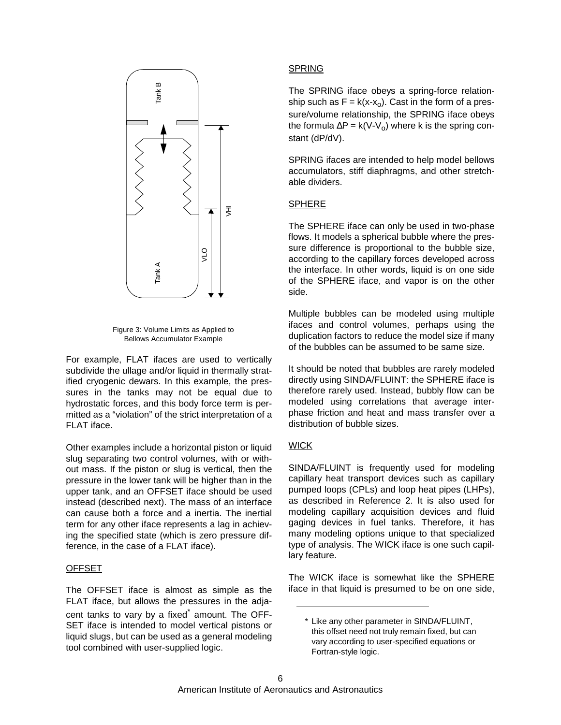

Figure 3: Volume Limits as Applied to Bellows Accumulator Example

For example, FLAT ifaces are used to vertically subdivide the ullage and/or liquid in thermally stratified cryogenic dewars. In this example, the pressures in the tanks may not be equal due to hydrostatic forces, and this body force term is permitted as a "violation" of the strict interpretation of a FLAT iface.

Other examples include a horizontal piston or liquid slug separating two control volumes, with or without mass. If the piston or slug is vertical, then the pressure in the lower tank will be higher than in the upper tank, and an OFFSET iface should be used instead (described next). The mass of an interface can cause both a force and a inertia. The inertial term for any other iface represents a lag in achieving the specified state (which is zero pressure difference, in the case of a FLAT iface).

### OFFSET

The OFFSET iface is almost as simple as the FLAT iface, but allows the pressures in the adjacent tanks to vary by a fixed<sup>\*</sup> amount. The OFF-SET iface is intended to model vertical pistons or liquid slugs, but can be used as a general modeling tool combined with user-supplied logic.

# **SPRING**

The SPRING iface obeys a spring-force relationship such as  $\mathsf{F}=\mathsf{k}(\mathsf{x}{\text{-}}\mathsf{x}_{\text{o}}).$  Cast in the form of a pressure/volume relationship, the SPRING iface obeys the formula  $\Delta \mathsf{P} = \mathsf{k}(\mathsf{V}\text{-}\mathsf{V}_{\mathsf{o}})$  where k is the spring constant (dP/dV).

SPRING ifaces are intended to help model bellows accumulators, stiff diaphragms, and other stretchable dividers.

# SPHERE

The SPHERE iface can only be used in two-phase flows. It models a spherical bubble where the pressure difference is proportional to the bubble size, according to the capillary forces developed across the interface. In other words, liquid is on one side of the SPHERE iface, and vapor is on the other side.

Multiple bubbles can be modeled using multiple ifaces and control volumes, perhaps using the duplication factors to reduce the model size if many of the bubbles can be assumed to be same size.

It should be noted that bubbles are rarely modeled directly using SINDA/FLUINT: the SPHERE iface is therefore rarely used. Instead, bubbly flow can be modeled using correlations that average interphase friction and heat and mass transfer over a distribution of bubble sizes.

# **WICK**

SINDA/FLUINT is frequently used for modeling capillary heat transport devices such as capillary pumped loops (CPLs) and loop heat pipes (LHPs), as described in Reference 2. It is also used for modeling capillary acquisition devices and fluid gaging devices in fuel tanks. Therefore, it has many modeling options unique to that specialized type of analysis. The WICK iface is one such capillary feature.

The WICK iface is somewhat like the SPHERE iface in that liquid is presumed to be on one side,

<sup>\*</sup> Like any other parameter in SINDA/FLUINT, this offset need not truly remain fixed, but can vary according to user-specified equations or Fortran-style logic.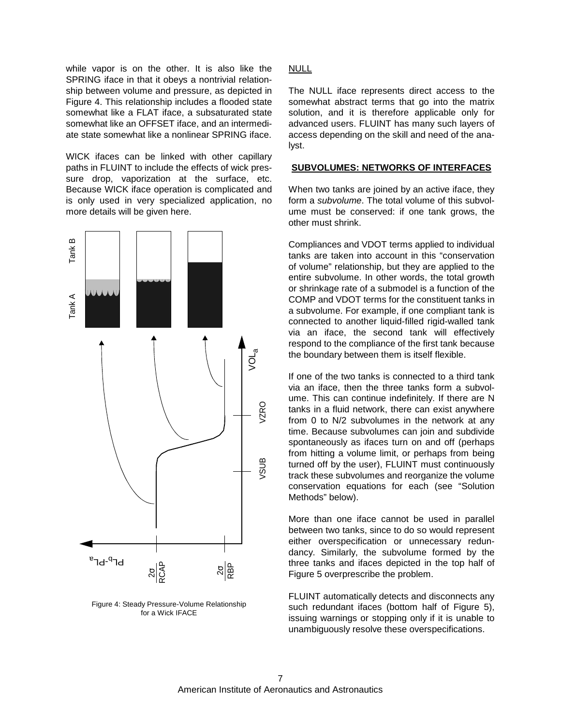while vapor is on the other. It is also like the SPRING iface in that it obeys a nontrivial relationship between volume and pressure, as depicted in Figure 4. This relationship includes a flooded state somewhat like a FLAT iface, a subsaturated state somewhat like an OFFSET iface, and an intermediate state somewhat like a nonlinear SPRING iface.

WICK ifaces can be linked with other capillary paths in FLUINT to include the effects of wick pressure drop, vaporization at the surface, etc. Because WICK iface operation is complicated and is only used in very specialized application, no more details will be given here.



Figure 4: Steady Pressure-Volume Relationship for a Wick IFACE

# NULL

The NULL iface represents direct access to the somewhat abstract terms that go into the matrix solution, and it is therefore applicable only for advanced users. FLUINT has many such layers of access depending on the skill and need of the analyst.

#### **SUBVOLUMES: NETWORKS OF INTERFACES**

When two tanks are joined by an active iface, they form a *subvolume*. The total volume of this subvolume must be conserved: if one tank grows, the other must shrink.

Compliances and VDOT terms applied to individual tanks are taken into account in this "conservation of volume" relationship, but they are applied to the entire subvolume. In other words, the total growth or shrinkage rate of a submodel is a function of the COMP and VDOT terms for the constituent tanks in a subvolume. For example, if one compliant tank is connected to another liquid-filled rigid-walled tank via an iface, the second tank will effectively respond to the compliance of the first tank because the boundary between them is itself flexible.

If one of the two tanks is connected to a third tank via an iface, then the three tanks form a subvolume. This can continue indefinitely. If there are N tanks in a fluid network, there can exist anywhere from 0 to N/2 subvolumes in the network at any time. Because subvolumes can join and subdivide spontaneously as ifaces turn on and off (perhaps from hitting a volume limit, or perhaps from being turned off by the user), FLUINT must continuously track these subvolumes and reorganize the volume conservation equations for each (see "Solution Methods" below).

More than one iface cannot be used in parallel between two tanks, since to do so would represent either overspecification or unnecessary redundancy. Similarly, the subvolume formed by the three tanks and ifaces depicted in the top half of Figure 5 overprescribe the problem.

FLUINT automatically detects and disconnects any such redundant ifaces (bottom half of Figure 5), issuing warnings or stopping only if it is unable to unambiguously resolve these overspecifications.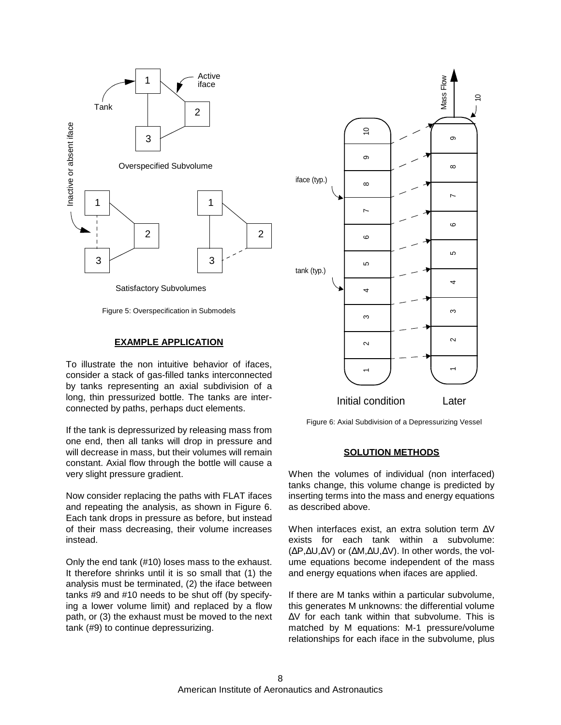

Satisfactory Subvolumes

Figure 5: Overspecification in Submodels

#### **EXAMPLE APPLICATION**

To illustrate the non intuitive behavior of ifaces, consider a stack of gas-filled tanks interconnected by tanks representing an axial subdivision of a long, thin pressurized bottle. The tanks are interconnected by paths, perhaps duct elements.

If the tank is depressurized by releasing mass from one end, then all tanks will drop in pressure and will decrease in mass, but their volumes will remain constant. Axial flow through the bottle will cause a very slight pressure gradient.

Now consider replacing the paths with FLAT ifaces and repeating the analysis, as shown in Figure 6. Each tank drops in pressure as before, but instead of their mass decreasing, their volume increases instead.

Only the end tank (#10) loses mass to the exhaust. It therefore shrinks until it is so small that (1) the analysis must be terminated, (2) the iface between tanks #9 and #10 needs to be shut off (by specifying a lower volume limit) and replaced by a flow path, or (3) the exhaust must be moved to the next tank (#9) to continue depressurizing.



Figure 6: Axial Subdivision of a Depressurizing Vessel

#### **SOLUTION METHODS**

When the volumes of individual (non interfaced) tanks change, this volume change is predicted by inserting terms into the mass and energy equations as described above.

When interfaces exist, an extra solution term ΔV exists for each tank within a subvolume:  $(\Delta P, \Delta U, \Delta V)$  or  $(\Delta M, \Delta U, \Delta V)$ . In other words, the volume equations become independent of the mass and energy equations when ifaces are applied.

If there are M tanks within a particular subvolume, this generates M unknowns: the differential volume ΔV for each tank within that subvolume. This is matched by M equations: M-1 pressure/volume relationships for each iface in the subvolume, plus